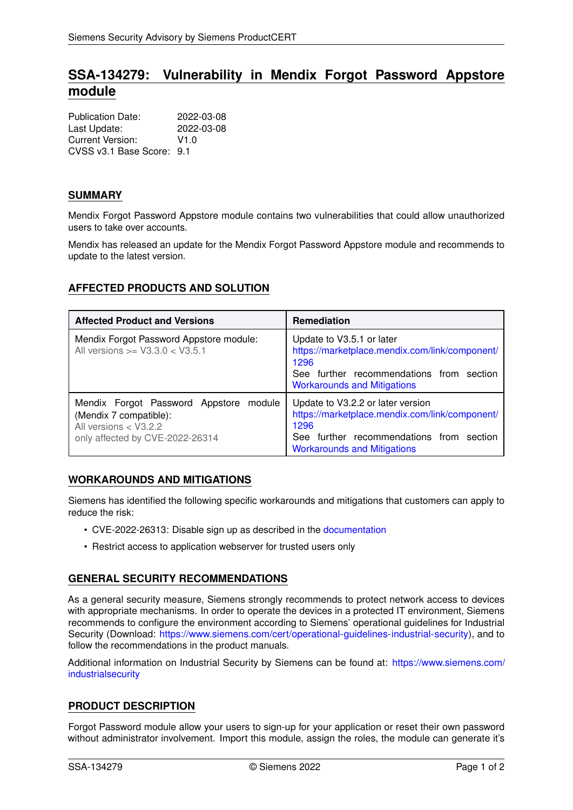# **SSA-134279: Vulnerability in Mendix Forgot Password Appstore module**

| <b>Publication Date:</b>  | 2022-03-08 |
|---------------------------|------------|
| Last Update:              | 2022-03-08 |
| Current Version:          | V1.0       |
| CVSS v3.1 Base Score: 9.1 |            |

## **SUMMARY**

Mendix Forgot Password Appstore module contains two vulnerabilities that could allow unauthorized users to take over accounts.

Mendix has released an update for the Mendix Forgot Password Appstore module and recommends to update to the latest version.

## **AFFECTED PRODUCTS AND SOLUTION**

| <b>Affected Product and Versions</b>                                                                                            | <b>Remediation</b>                                                                                                                                                               |
|---------------------------------------------------------------------------------------------------------------------------------|----------------------------------------------------------------------------------------------------------------------------------------------------------------------------------|
| Mendix Forgot Password Appstore module:<br>All versions $>=$ V3.3.0 $<$ V3.5.1                                                  | Update to V3.5.1 or later<br>https://marketplace.mendix.com/link/component/<br>1296<br>See further recommendations from section<br><b>Workarounds and Mitigations</b>            |
| Mendix Forgot Password Appstore<br>module<br>(Mendix 7 compatible):<br>All versions < V3.2.2<br>only affected by CVE-2022-26314 | Update to V3.2.2 or later version<br>https://marketplace.mendix.com/link/component/<br>1296<br>further recommendations from section<br>See<br><b>Workarounds and Mitigations</b> |

### <span id="page-0-0"></span>**WORKAROUNDS AND MITIGATIONS**

Siemens has identified the following specific workarounds and mitigations that customers can apply to reduce the risk:

- CVE-2022-26313: Disable sign up as described in the [documentation](https://docs.mendix.com/appstore/modules/forgot-password)
- Restrict access to application webserver for trusted users only

## **GENERAL SECURITY RECOMMENDATIONS**

As a general security measure, Siemens strongly recommends to protect network access to devices with appropriate mechanisms. In order to operate the devices in a protected IT environment, Siemens recommends to configure the environment according to Siemens' operational guidelines for Industrial Security (Download: [https://www.siemens.com/cert/operational-guidelines-industrial-security\)](https://www.siemens.com/cert/operational-guidelines-industrial-security), and to follow the recommendations in the product manuals.

Additional information on Industrial Security by Siemens can be found at: [https://www.siemens.com/](https://www.siemens.com/industrialsecurity) [industrialsecurity](https://www.siemens.com/industrialsecurity)

## **PRODUCT DESCRIPTION**

Forgot Password module allow your users to sign-up for your application or reset their own password without administrator involvement. Import this module, assign the roles, the module can generate it's